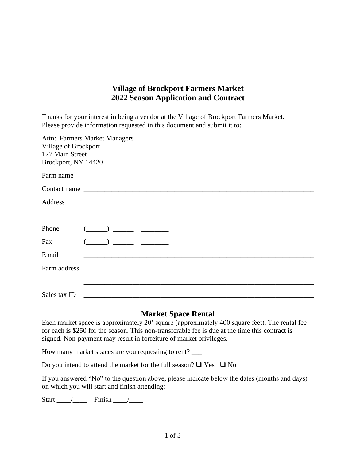## **Village of Brockport Farmers Market 2022 Season Application and Contract**

Thanks for your interest in being a vendor at the Village of Brockport Farmers Market. Please provide information requested in this document and submit it to:

| Village of Brockport<br>127 Main Street<br>Brockport, NY 14420 | Attn: Farmers Market Managers                                                                                            |
|----------------------------------------------------------------|--------------------------------------------------------------------------------------------------------------------------|
| Farm name                                                      | <u> 1980 - Jan James James Barnett, fransk politik (d. 1980)</u>                                                         |
|                                                                |                                                                                                                          |
| <b>Address</b>                                                 | <u> 1989 - Johann Barn, amerikansk politiker (d. 1989)</u>                                                               |
|                                                                |                                                                                                                          |
| Phone                                                          | $\begin{array}{c} \begin{array}{c} \begin{array}{c} \end{array} \\ \begin{array}{c} \end{array} \end{array} \end{array}$ |
| Fax                                                            | ) $-$                                                                                                                    |
| Email                                                          |                                                                                                                          |
|                                                                | Farm address <u>experience</u>                                                                                           |
|                                                                |                                                                                                                          |
| Sales tax ID                                                   |                                                                                                                          |

## **Market Space Rental**

Each market space is approximately 20' square (approximately 400 square feet). The rental fee for each is \$250 for the season. This non-transferable fee is due at the time this contract is signed. Non-payment may result in forfeiture of market privileges.

How many market spaces are you requesting to rent?

Do you intend to attend the market for the full season?  $\Box$  Yes  $\Box$  No

If you answered "No" to the question above, please indicate below the dates (months and days) on which you will start and finish attending:

Start  $\frac{\sqrt{2}}{2}$  Finish  $\frac{\sqrt{2}}{2}$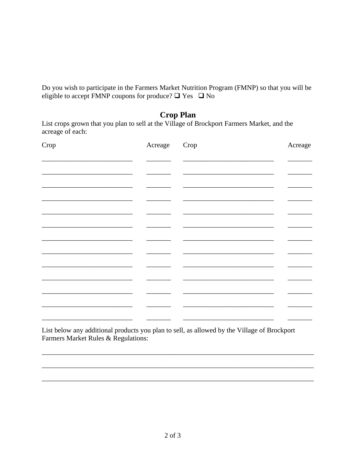Do you wish to participate in the Farmers Market Nutrition Program (FMNP) so that you will be eligible to accept FMNP coupons for produce?  $\Box$  Yes  $\Box$  No

## **Crop Plan**

List crops grown that you plan to sell at the Village of Brockport Farmers Market, and the acreage of each:

| Crop | Acreage | Crop | Acreage |
|------|---------|------|---------|
|      |         |      |         |
|      |         |      |         |
|      |         |      |         |
|      |         |      |         |
|      |         |      |         |
|      |         |      |         |
|      |         |      |         |
|      |         |      |         |
|      |         |      |         |
|      |         |      |         |
|      |         |      |         |
|      |         |      |         |
|      |         |      |         |

List below any additional products you plan to sell, as allowed by the Village of Brockport Farmers Market Rules & Regulations: